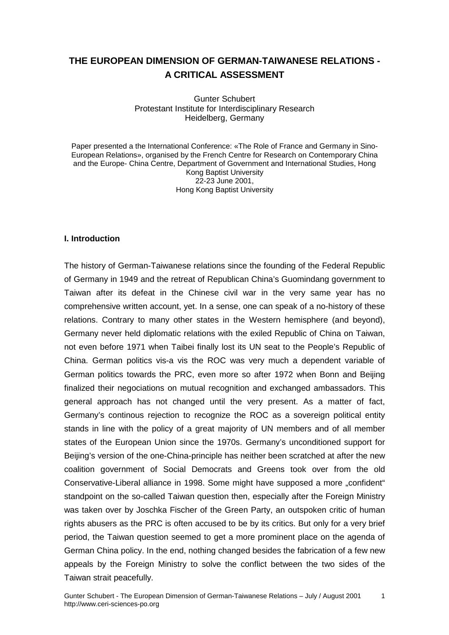# **THE EUROPEAN DIMENSION OF GERMAN-TAIWANESE RELATIONS - A CRITICAL ASSESSMENT**

Gunter Schubert Protestant Institute for Interdisciplinary Research Heidelberg, Germany

Paper presented a the International Conference: «The Role of France and Germany in Sino-European Relations», organised by the French Centre for Research on Contemporary China and the Europe- China Centre, Department of Government and International Studies, Hong Kong Baptist University 22-23 June 2001, Hong Kong Baptist University

#### **I. Introduction**

The history of German-Taiwanese relations since the founding of the Federal Republic of Germany in 1949 and the retreat of Republican China's Guomindang government to Taiwan after its defeat in the Chinese civil war in the very same year has no comprehensive written account, yet. In a sense, one can speak of a no-history of these relations. Contrary to many other states in the Western hemisphere (and beyond), Germany never held diplomatic relations with the exiled Republic of China on Taiwan, not even before 1971 when Taibei finally lost its UN seat to the People's Republic of China. German politics vis-a vis the ROC was very much a dependent variable of German politics towards the PRC, even more so after 1972 when Bonn and Beijing finalized their negociations on mutual recognition and exchanged ambassadors. This general approach has not changed until the very present. As a matter of fact, Germany's continous rejection to recognize the ROC as a sovereign political entity stands in line with the policy of a great majority of UN members and of all member states of the European Union since the 1970s. Germany's unconditioned support for Beijing's version of the one-China-principle has neither been scratched at after the new coalition government of Social Democrats and Greens took over from the old Conservative-Liberal alliance in 1998. Some might have supposed a more "confident" standpoint on the so-called Taiwan question then, especially after the Foreign Ministry was taken over by Joschka Fischer of the Green Party, an outspoken critic of human rights abusers as the PRC is often accused to be by its critics. But only for a very brief period, the Taiwan question seemed to get a more prominent place on the agenda of German China policy. In the end, nothing changed besides the fabrication of a few new appeals by the Foreign Ministry to solve the conflict between the two sides of the Taiwan strait peacefully.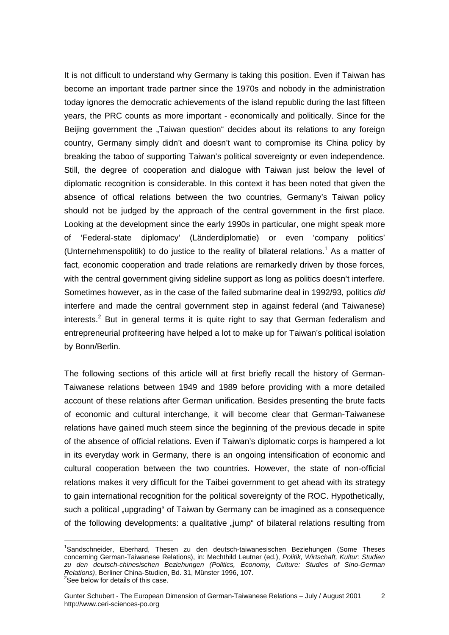It is not difficult to understand why Germany is taking this position. Even if Taiwan has become an important trade partner since the 1970s and nobody in the administration today ignores the democratic achievements of the island republic during the last fifteen years, the PRC counts as more important - economically and politically. Since for the Beijing government the "Taiwan question" decides about its relations to any foreign country, Germany simply didn't and doesn't want to compromise its China policy by breaking the taboo of supporting Taiwan's political sovereignty or even independence. Still, the degree of cooperation and dialogue with Taiwan just below the level of diplomatic recognition is considerable. In this context it has been noted that given the absence of offical relations between the two countries, Germany's Taiwan policy should not be judged by the approach of the central government in the first place. Looking at the development since the early 1990s in particular, one might speak more of 'Federal-state diplomacy' (Länderdiplomatie) or even 'company politics' (Unternehmenspolitik) to do justice to the reality of bilateral relations.<sup>1</sup> As a matter of fact, economic cooperation and trade relations are remarkedly driven by those forces, with the central government giving sideline support as long as politics doesn't interfere. Sometimes however, as in the case of the failed submarine deal in 1992/93, politics *did* interfere and made the central government step in against federal (and Taiwanese) interests.<sup>2</sup> But in general terms it is quite right to say that German federalism and entrepreneurial profiteering have helped a lot to make up for Taiwan's political isolation by Bonn/Berlin.

The following sections of this article will at first briefly recall the history of German-Taiwanese relations between 1949 and 1989 before providing with a more detailed account of these relations after German unification. Besides presenting the brute facts of economic and cultural interchange, it will become clear that German-Taiwanese relations have gained much steem since the beginning of the previous decade in spite of the absence of official relations. Even if Taiwan's diplomatic corps is hampered a lot in its everyday work in Germany, there is an ongoing intensification of economic and cultural cooperation between the two countries. However, the state of non-official relations makes it very difficult for the Taibei government to get ahead with its strategy to gain international recognition for the political sovereignty of the ROC. Hypothetically, such a political "upgrading" of Taiwan by Germany can be imagined as a consequence of the following developments: a qualitative "jump" of bilateral relations resulting from

<sup>&</sup>lt;sup>1</sup>Sandschneider, Eberhard, Thesen zu den deutsch-taiwanesischen Beziehungen (Some Theses concerning German-Taiwanese Relations), in: Mechthild Leutner (ed.), *Politik, Wirtschaft, Kultur: Studien zu den deutsch-chinesischen Beziehungen (Politics, Economy, Culture: Studies of Sino-German Relations)*, Berliner China-Studien, Bd. 31, Münster 1996, 107. 2  $2$ See below for details of this case.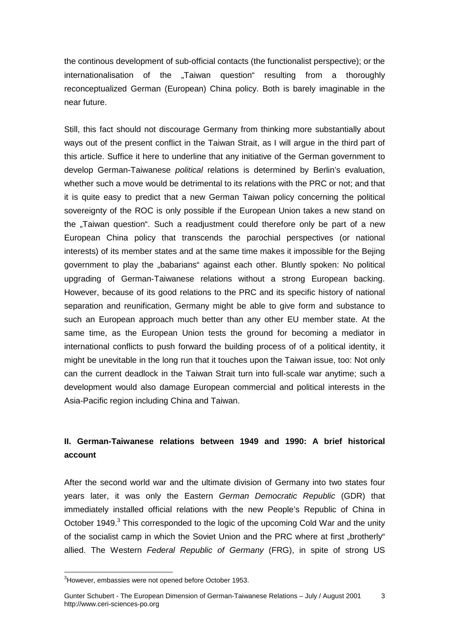the continous development of sub-official contacts (the functionalist perspective); or the internationalisation of the "Taiwan question" resulting from a thoroughly reconceptualized German (European) China policy. Both is barely imaginable in the near future.

Still, this fact should not discourage Germany from thinking more substantially about ways out of the present conflict in the Taiwan Strait, as I will argue in the third part of this article. Suffice it here to underline that any initiative of the German government to develop German-Taiwanese *political* relations is determined by Berlin's evaluation, whether such a move would be detrimental to its relations with the PRC or not; and that it is quite easy to predict that a new German Taiwan policy concerning the political sovereignty of the ROC is only possible if the European Union takes a new stand on the "Taiwan question". Such a readjustment could therefore only be part of a new European China policy that transcends the parochial perspectives (or national interests) of its member states and at the same time makes it impossible for the Bejing government to play the "babarians" against each other. Bluntly spoken: No political upgrading of German-Taiwanese relations without a strong European backing. However, because of its good relations to the PRC and its specific history of national separation and reunification, Germany might be able to give form and substance to such an European approach much better than any other EU member state. At the same time, as the European Union tests the ground for becoming a mediator in international conflicts to push forward the building process of of a political identity, it might be unevitable in the long run that it touches upon the Taiwan issue, too: Not only can the current deadlock in the Taiwan Strait turn into full-scale war anytime; such a development would also damage European commercial and political interests in the Asia-Pacific region including China and Taiwan.

# **II. German-Taiwanese relations between 1949 and 1990: A brief historical account**

After the second world war and the ultimate division of Germany into two states four years later, it was only the Eastern *German Democratic Republic* (GDR) that immediately installed official relations with the new People's Republic of China in October 1949.<sup>3</sup> This corresponded to the logic of the upcoming Cold War and the unity of the socialist camp in which the Soviet Union and the PRC where at first "brotherly" allied. The Western *Federal Republic of Germany* (FRG), in spite of strong US

 $3$ However, embassies were not opened before October 1953.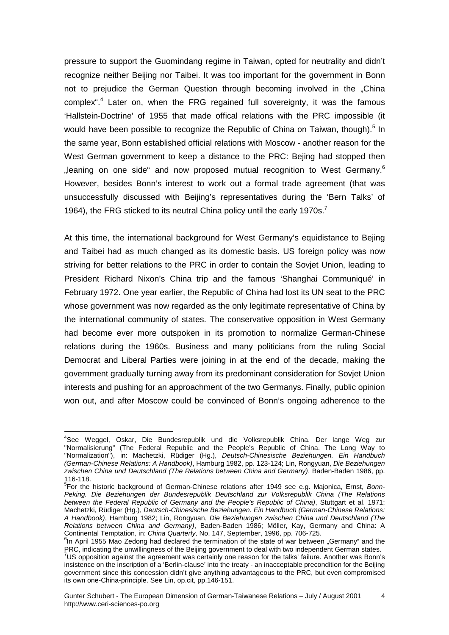pressure to support the Guomindang regime in Taiwan, opted for neutrality and didn't recognize neither Beijing nor Taibei. It was too important for the government in Bonn not to prejudice the German Question through becoming involved in the "China complex<sup>",4</sup> Later on, when the FRG regained full sovereignty, it was the famous 'Hallstein-Doctrine' of 1955 that made offical relations with the PRC impossible (it would have been possible to recognize the Republic of China on Taiwan, though).<sup>5</sup> In the same year, Bonn established official relations with Moscow - another reason for the West German government to keep a distance to the PRC: Bejing had stopped then . leaning on one side and now proposed mutual recognition to West Germany.<sup>6</sup> However, besides Bonn's interest to work out a formal trade agreement (that was unsuccessfully discussed with Beijing's representatives during the 'Bern Talks' of 1964), the FRG sticked to its neutral China policy until the early 1970s.<sup>7</sup>

At this time, the international background for West Germany's equidistance to Bejing and Taibei had as much changed as its domestic basis. US foreign policy was now striving for better relations to the PRC in order to contain the Sovjet Union, leading to President Richard Nixon's China trip and the famous 'Shanghai Communiqué' in February 1972. One year earlier, the Republic of China had lost its UN seat to the PRC whose government was now regarded as the only legitimate representative of China by the international community of states. The conservative opposition in West Germany had become ever more outspoken in its promotion to normalize German-Chinese relations during the 1960s. Business and many politicians from the ruling Social Democrat and Liberal Parties were joining in at the end of the decade, making the government gradually turning away from its predominant consideration for Sovjet Union interests and pushing for an approachment of the two Germanys. Finally, public opinion won out, and after Moscow could be convinced of Bonn's ongoing adherence to the

 $\overline{a}$ <sup>4</sup>See Weggel, Oskar, Die Bundesrepublik und die Volksrepublik China. Der lange Weg zur "Normalisierung" (The Federal Republic and the People's Republic of China. The Long Way to "Normalization"), in: Machetzki, Rüdiger (Hg.), *Deutsch-Chinesische Beziehungen. Ein Handbuch (German-Chinese Relations: A Handbook)*, Hamburg 1982, pp. 123-124; Lin, Rongyuan, *Die Beziehungen zwischen China und Deutschland (The Relations between China and Germany)*, Baden-Baden 1986, pp. 116-118.

<sup>5</sup> For the historic background of German-Chinese relations after 1949 see e.g. Majonica, Ernst, *Bonn-Peking. Die Beziehungen der Bundesrepublik Deutschland zur Volksrepublik China (The Relations between the Federal Republic of Germany and the People's Republic of China)*, Stuttgart et al. 1971; Machetzki, Rüdiger (Hg.), *Deutsch-Chinesische Beziehungen. Ein Handbuch (German-Chinese Relations: A Handbook)*, Hamburg 1982; Lin, Rongyuan, *Die Beziehungen zwischen China und Deutschland (The Relations between China and Germany)*, Baden-Baden 1986; Möller, Kay, Germany and China: A Continental Temptation, in: *China Quarterly,* No. 147, September, 1996, pp. 706-725. 6

 $<sup>6</sup>$ In April 1955 Mao Zedong had declared the termination of the state of war between "Germany" and the</sup> PRC, indicating the unwillingness of the Beijing government to deal with two independent German states.<br><sup>7</sup>US opposition against the agreement was certainly one reason for the talks' failure. Another was Bonn's

insistence on the inscription of a 'Berlin-clause' into the treaty - an inacceptable precondition for the Beijing government since this concession didn't give anything advantageous to the PRC, but even compromised its own one-China-principle. See Lin, op.cit, pp.146-151.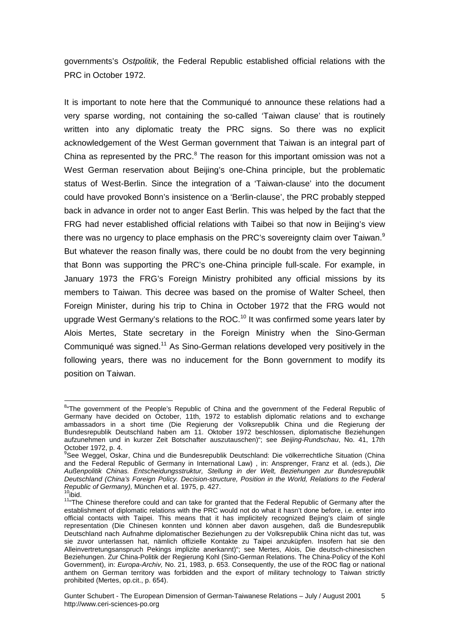governments's *Ostpolitik*, the Federal Republic established official relations with the PRC in October 1972.

It is important to note here that the Communiqué to announce these relations had a very sparse wording, not containing the so-called 'Taiwan clause' that is routinely written into any diplomatic treaty the PRC signs. So there was no explicit acknowledgement of the West German government that Taiwan is an integral part of China as represented by the PRC. $8$  The reason for this important omission was not a West German reservation about Beijing's one-China principle, but the problematic status of West-Berlin. Since the integration of a 'Taiwan-clause' into the document could have provoked Bonn's insistence on a 'Berlin-clause', the PRC probably stepped back in advance in order not to anger East Berlin. This was helped by the fact that the FRG had never established official relations with Taibei so that now in Beijing's view there was no urgency to place emphasis on the PRC's sovereignty claim over Taiwan.<sup>9</sup> But whatever the reason finally was, there could be no doubt from the very beginning that Bonn was supporting the PRC's one-China principle full-scale. For example, in January 1973 the FRG's Foreign Ministry prohibited any official missions by its members to Taiwan. This decree was based on the promise of Walter Scheel, then Foreign Minister, during his trip to China in October 1972 that the FRG would not upgrade West Germany's relations to the ROC.<sup>10</sup> It was confirmed some years later by Alois Mertes, State secretary in the Foreign Ministry when the Sino-German Communiqué was signed.<sup>11</sup> As Sino-German relations developed very positively in the following years, there was no inducement for the Bonn government to modify its position on Taiwan.

 $\overline{a}$ <sup>8</sup>"The government of the People's Republic of China and the government of the Federal Republic of Germany have decided on October, 11th, 1972 to establish diplomatic relations and to exchange ambassadors in a short time (Die Regierung der Volksrepublik China und die Regierung der Bundesrepublik Deutschland haben am 11. Oktober 1972 beschlossen, diplomatische Beziehungen aufzunehmen und in kurzer Zeit Botschafter auszutauschen)"; see *Beijing-Rundschau*, No. 41, 17th October 1972, p. 4.

<sup>&</sup>lt;sup>9</sup>See Weggel, Oskar, China und die Bundesrepublik Deutschland: Die völkerrechtliche Situation (China and the Federal Republic of Germany in International Law) , in: Ansprenger, Franz et al. (eds.), *Die Außenpolitik Chinas. Entscheidungsstruktur, Stellung in der Welt, Beziehungen zur Bundesrepublik Deutschland (China's Foreign Policy. Decision-structure, Position in the World, Relations to the Federal Republic of Germany), München et al. 1975, p. 427.*<br><sup>10</sup>ibid.

<sup>1966.&</sup>lt;br><sup>11</sup> The Chinese therefore could and can take for granted that the Federal Republic of Germany after the establishment of diplomatic relations with the PRC would not do what it hasn't done before, i.e. enter into official contacts with Taipei. This means that it has implicitely recognized Bejing's claim of single representation (Die Chinesen konnten und können aber davon ausgehen, daß die Bundesrepublik Deutschland nach Aufnahme diplomatischer Beziehungen zu der Volksrepublik China nicht das tut, was sie zuvor unterlassen hat, nämlich offizielle Kontakte zu Taipei anzuküpfen. Insofern hat sie den Alleinvertretungsanspruch Pekings implizite anerkannt)"; see Mertes, Alois, Die deutsch-chinesischen Beziehungen. Zur China-Politik der Regierung Kohl (Sino-German Relations. The China-Policy of the Kohl Government), in: *Europa-Archiv,* No. 21, 1983, p. 653. Consequently, the use of the ROC flag or national anthem on German territory was forbidden and the export of military technology to Taiwan strictly prohibited (Mertes, op.cit., p. 654).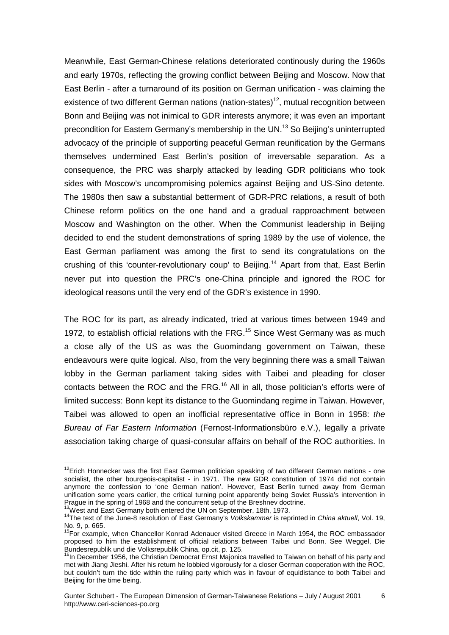Meanwhile, East German-Chinese relations deteriorated continously during the 1960s and early 1970s, reflecting the growing conflict between Beijing and Moscow. Now that East Berlin - after a turnaround of its position on German unification - was claiming the existence of two different German nations (nation-states)<sup>12</sup>, mutual recognition between Bonn and Beijing was not inimical to GDR interests anymore; it was even an important precondition for Eastern Germany's membership in the UN.<sup>13</sup> So Beijing's uninterrupted advocacy of the principle of supporting peaceful German reunification by the Germans themselves undermined East Berlin's position of irreversable separation. As a consequence, the PRC was sharply attacked by leading GDR politicians who took sides with Moscow's uncompromising polemics against Beijing and US-Sino detente. The 1980s then saw a substantial betterment of GDR-PRC relations, a result of both Chinese reform politics on the one hand and a gradual rapproachment between Moscow and Washington on the other. When the Communist leadership in Beijing decided to end the student demonstrations of spring 1989 by the use of violence, the East German parliament was among the first to send its congratulations on the crushing of this 'counter-revolutionary coup' to Beijing.<sup>14</sup> Apart from that, East Berlin never put into question the PRC's one-China principle and ignored the ROC for ideological reasons until the very end of the GDR's existence in 1990.

The ROC for its part, as already indicated, tried at various times between 1949 and 1972, to establish official relations with the FRG.<sup>15</sup> Since West Germany was as much a close ally of the US as was the Guomindang government on Taiwan, these endeavours were quite logical. Also, from the very beginning there was a small Taiwan lobby in the German parliament taking sides with Taibei and pleading for closer contacts between the ROC and the FRG.<sup>16</sup> All in all, those politician's efforts were of limited success: Bonn kept its distance to the Guomindang regime in Taiwan. However, Taibei was allowed to open an inofficial representative office in Bonn in 1958: *the Bureau of Far Eastern Information* (Fernost-Informationsbüro e.V.), legally a private association taking charge of quasi-consular affairs on behalf of the ROC authorities. In

<sup>&</sup>lt;sup>12</sup>Erich Honnecker was the first East German politician speaking of two different German nations - one socialist, the other bourgeois-capitalist - in 1971. The new GDR constitution of 1974 did not contain anymore the confession to 'one German nation'. However, East Berlin turned away from German unification some years earlier, the critical turning point apparently being Soviet Russia's intervention in Prague in the spring of 1968 and the concurrent setup of the Breshnev doctrine.<br><sup>13</sup>West and East Germany both entered the UN on September, 18th, 1973.

<sup>14</sup>The text of the June-8 resolution of East Germany's *Volkskammer* is reprinted in *China aktuell*, Vol. 19, No. 9, p. 665.

<sup>&</sup>lt;sup>15</sup>For example, when Chancellor Konrad Adenauer visited Greece in March 1954, the ROC embassador proposed to him the establishment of official relations between Taibei und Bonn. See Weggel, Die Bundesrepublik und die Volksrepublik China, op.cit, p. 125.

<sup>&</sup>lt;sup>16</sup>In December 1956, the Christian Democrat Ernst Majonica travelled to Taiwan on behalf of his party and met with Jiang Jieshi. After his return he lobbied vigorously for a closer German cooperation with the ROC, but couldn't turn the tide within the ruling party which was in favour of equidistance to both Taibei and Beijing for the time being.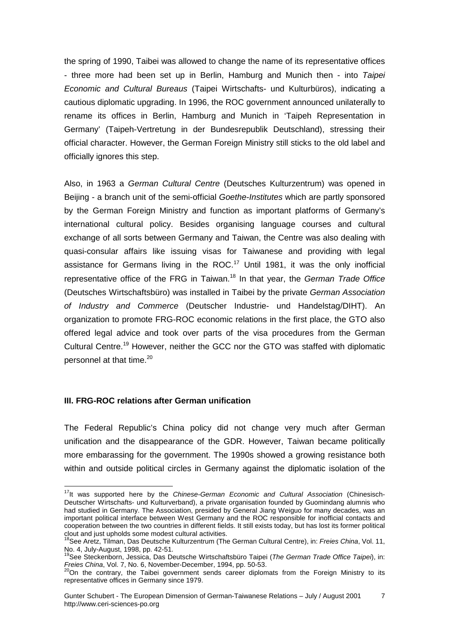the spring of 1990, Taibei was allowed to change the name of its representative offices - three more had been set up in Berlin, Hamburg and Munich then - into *Taipei Economic and Cultural Bureaus* (Taipei Wirtschafts- und Kulturbüros), indicating a cautious diplomatic upgrading. In 1996, the ROC government announced unilaterally to rename its offices in Berlin, Hamburg and Munich in 'Taipeh Representation in Germany' (Taipeh-Vertretung in der Bundesrepublik Deutschland), stressing their official character. However, the German Foreign Ministry still sticks to the old label and officially ignores this step.

Also, in 1963 a *German Cultural Centre* (Deutsches Kulturzentrum) was opened in Beijing - a branch unit of the semi-official *Goethe-Institutes* which are partly sponsored by the German Foreign Ministry and function as important platforms of Germany's international cultural policy. Besides organising language courses and cultural exchange of all sorts between Germany and Taiwan, the Centre was also dealing with quasi-consular affairs like issuing visas for Taiwanese and providing with legal assistance for Germans living in the ROC.<sup>17</sup> Until 1981, it was the only inofficial representative office of the FRG in Taiwan.18 In that year, the *German Trade Office* (Deutsches Wirtschaftsbüro) was installed in Taibei by the private *German Association of Industry and Commerce* (Deutscher Industrie- und Handelstag/DIHT). An organization to promote FRG-ROC economic relations in the first place, the GTO also offered legal advice and took over parts of the visa procedures from the German Cultural Centre.19 However, neither the GCC nor the GTO was staffed with diplomatic personnel at that time. $20$ 

### **III. FRG-ROC relations after German unification**

The Federal Republic's China policy did not change very much after German unification and the disappearance of the GDR. However, Taiwan became politically more embarassing for the government. The 1990s showed a growing resistance both within and outside political circles in Germany against the diplomatic isolation of the

 $\overline{a}$ <sup>17</sup>It was supported here by the *Chinese-German Economic and Cultural Association* (Chinesisch-Deutscher Wirtschafts- und Kulturverband), a private organisation founded by Guomindang alumnis who had studied in Germany. The Association, presided by General Jiang Weiguo for many decades, was an important political interface between West Germany and the ROC responsible for inofficial contacts and cooperation between the two countries in different fields. It still exists today, but has lost its former political clout and just upholds some modest cultural activities.

<sup>18</sup>See Aretz, Tilman, Das Deutsche Kulturzentrum (The German Cultural Centre), in: *Freies China*, Vol. 11, No. 4, July-August, 1998, pp. 42-51.

<sup>19</sup>See Steckenborn, Jessica, Das Deutsche Wirtschaftsbüro Taipei (*The German Trade Office Taipei*), in: *Freies China*, Vol. 7, No. 6, November-December, 1994, pp. 50-53.<br><sup>20</sup>On the contrary, the Taibei government sends career diplomats from the Foreign Ministry to its

representative offices in Germany since 1979.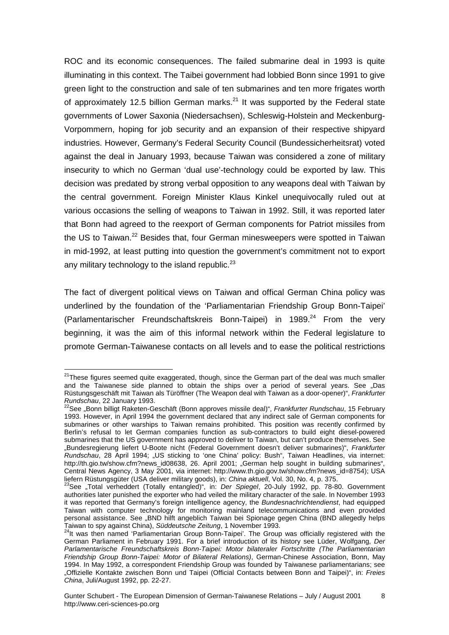ROC and its economic consequences. The failed submarine deal in 1993 is quite illuminating in this context. The Taibei government had lobbied Bonn since 1991 to give green light to the construction and sale of ten submarines and ten more frigates worth of approximately 12.5 billion German marks.<sup>21</sup> It was supported by the Federal state governments of Lower Saxonia (Niedersachsen), Schleswig-Holstein and Meckenburg-Vorpommern, hoping for job security and an expansion of their respective shipyard industries. However, Germany's Federal Security Council (Bundessicherheitsrat) voted against the deal in January 1993, because Taiwan was considered a zone of military insecurity to which no German 'dual use'-technology could be exported by law. This decision was predated by strong verbal opposition to any weapons deal with Taiwan by the central government. Foreign Minister Klaus Kinkel unequivocally ruled out at various occasions the selling of weapons to Taiwan in 1992. Still, it was reported later that Bonn had agreed to the reexport of German components for Patriot missiles from the US to Taiwan.<sup>22</sup> Besides that, four German minesweepers were spotted in Taiwan in mid-1992, at least putting into question the government's commitment not to export any military technology to the island republic. $23$ 

The fact of divergent political views on Taiwan and offical German China policy was underlined by the foundation of the 'Parliamentarian Friendship Group Bonn-Taipei' (Parlamentarischer Freundschaftskreis Bonn-Taipei) in 1989. $^{24}$  From the very beginning, it was the aim of this informal network within the Federal legislature to promote German-Taiwanese contacts on all levels and to ease the political restrictions

 $\overline{a}$  $21$ These figures seemed quite exaggerated, though, since the German part of the deal was much smaller and the Taiwanese side planned to obtain the ships over a period of several years. See "Das Rüstungsgeschäft mit Taiwan als Türöffner (The Weapon deal with Taiwan as a door-opener)", *Frankfurter Rundschau*, 22 January 1993.<br>*Rundschau*, 22 January 1993.<br><sup>22</sup>See "Bonn billigt Raketen-Geschäft (Bonn approves missile deal)", *Frankfurter Rundschau*, 15 February

<sup>1993.</sup> However, in April 1994 the government declared that any indirect sale of German components for submarines or other warships to Taiwan remains prohibited. This position was recently confirmed by Berlin's refusal to let German companies function as sub-contractors to build eight diesel-powered submarines that the US government has approved to deliver to Taiwan, but can't produce themselves. See "Bundesregierung liefert U-Boote nicht (Federal Government doesn't deliver submarines)", *Frankfurter Rundschau*, 28 April 1994; "US sticking to 'one China' policy: Bush", Taiwan Headlines, via internet: http://th.gio.tw/show.cfm?news\_id08638, 26. April 2001; "German help sought in building submarines", Central News Agency, 3 May 2001, via internet: http://www.th.gio.gov.tw/show.cfm?news\_id=8754); USA<br>liefern Rüstungsgüter (USA deliver military goods), in: *China aktuell*, Vol. 30, No. 4, p. 375.

liefern Rüstungsgüter (USA deliver military goods), in: *China aktuell*, Vol. 30, No. 4, p. 375.<br><sup>23</sup>See "Total verheddert (Totally entangled)", in: *Der Spiegel*, 20-July 1992, pp. 78-80. Government authorities later punished the exporter who had veiled the military character of the sale. In November 1993 it was reported that Germany's foreign intelligence agency, the *Bundesnachrichtendienst*, had equipped Taiwan with computer technology for monitoring mainland telecommunications and even provided personal assistance. See "BND hilft angeblich Taiwan bei Spionage gegen China (BND allegedly helps Taiwan to spy against China), *Süddeutsche Zeitung*, 1 November 1993. 24It was then named 'Parliamentarian Group Bonn-Taipei'. The Group was officially registered with the

German Parliament in February 1991. For a brief introduction of its history see Lüder, Wolfgang, *Der Parlamentarische Freundschaftskreis Bonn-Taipei: Motor bilateraler Fortschritte (The Parliamentarian Friendship Group Bonn-Taipei: Motor of Bilateral Relations)*, German-Chinese Association, Bonn, May 1994. In May 1992, a correspondent Friendship Group was founded by Taiwanese parliamentarians; see "Offizielle Kontakte zwischen Bonn und Taipei (Official Contacts between Bonn and Taipei)", in: *Freies China*, Juli/August 1992, pp. 22-27.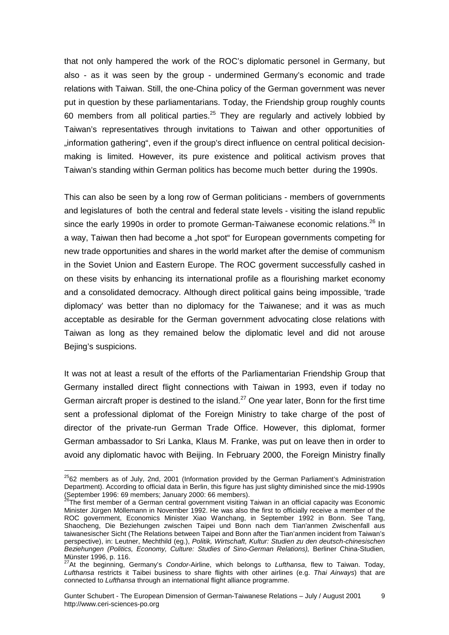that not only hampered the work of the ROC's diplomatic personel in Germany, but also - as it was seen by the group - undermined Germany's economic and trade relations with Taiwan. Still, the one-China policy of the German government was never put in question by these parliamentarians. Today, the Friendship group roughly counts 60 members from all political parties.<sup>25</sup> They are regularly and actively lobbied by Taiwan's representatives through invitations to Taiwan and other opportunities of "information gathering", even if the group's direct influence on central political decisionmaking is limited. However, its pure existence and political activism proves that Taiwan's standing within German politics has become much better during the 1990s.

This can also be seen by a long row of German politicians - members of governments and legislatures of both the central and federal state levels - visiting the island republic since the early 1990s in order to promote German-Taiwanese economic relations.<sup>26</sup> In a way, Taiwan then had become a "hot spot" for European governments competing for new trade opportunities and shares in the world market after the demise of communism in the Soviet Union and Eastern Europe. The ROC goverment successfully cashed in on these visits by enhancing its international profile as a flourishing market economy and a consolidated democracy. Although direct political gains being impossible, 'trade diplomacy' was better than no diplomacy for the Taiwanese; and it was as much acceptable as desirable for the German government advocating close relations with Taiwan as long as they remained below the diplomatic level and did not arouse Bejing's suspicions.

It was not at least a result of the efforts of the Parliamentarian Friendship Group that Germany installed direct flight connections with Taiwan in 1993, even if today no German aircraft proper is destined to the island.<sup>27</sup> One year later, Bonn for the first time sent a professional diplomat of the Foreign Ministry to take charge of the post of director of the private-run German Trade Office. However, this diplomat, former German ambassador to Sri Lanka, Klaus M. Franke, was put on leave then in order to avoid any diplomatic havoc with Beijing. In February 2000, the Foreign Ministry finally

 $^{25}$ 62 members as of July, 2nd, 2001 (Information provided by the German Parliament's Administration Department). According to official data in Berlin, this figure has just slighty diminished since the mid-1990s (September 1996: 69 members; January 2000: 66 members).

<sup>&</sup>lt;sup>26</sup>The first member of a German central government visiting Taiwan in an official capacity was Economic Minister Jürgen Möllemann in November 1992. He was also the first to officially receive a member of the ROC government, Economics Minister Xiao Wanchang, in September 1992 in Bonn. See Tang, Shaocheng, Die Beziehungen zwischen Taipei und Bonn nach dem Tian'anmen Zwischenfall aus taiwanesischer Sicht (The Relations between Taipei and Bonn after the Tian'anmen incident from Taiwan's perspective), in: Leutner, Mechthild (eg.), *Politik, Wirtschaft, Kultur: Studien zu den deutsch-chinesischen Beziehungen (Politics, Economy, Culture: Studies of Sino-German Relations),* Berliner China-Studien, Münster 1996, p. 116.

<sup>27</sup>At the beginning, Germany's *Condor*-Airline, which belongs to *Lufthansa*, flew to Taiwan. Today, *Lufthansa* restricts it Taibei business to share flights with other airlines (e.g. *Thai Airways*) that are connected to *Lufthansa* through an international flight alliance programme.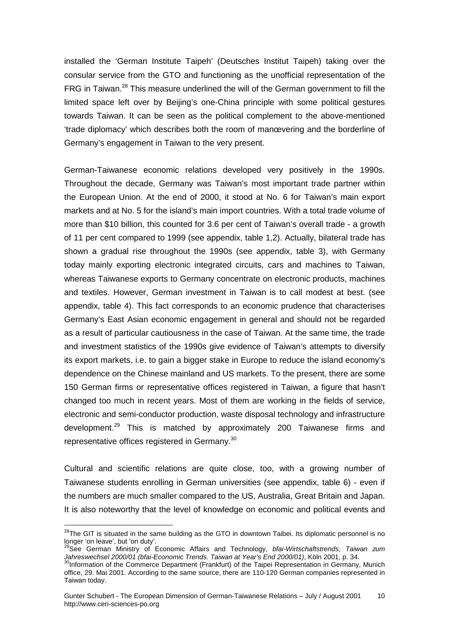installed the 'German Institute Taipeh' (Deutsches Institut Taipeh) taking over the consular service from the GTO and functioning as the unofficial representation of the FRG in Taiwan.<sup>28</sup> This measure underlined the will of the German government to fill the limited space left over by Beijing's one-China principle with some political gestures towards Taiwan. It can be seen as the political complement to the above-mentioned 'trade diplomacy' which describes both the room of manœvering and the borderline of Germany's engagement in Taiwan to the very present.

German-Taiwanese economic relations developed very positively in the 1990s. Throughout the decade, Germany was Taiwan's most important trade partner within the European Union. At the end of 2000, it stood at No. 6 for Taiwan's main export markets and at No. 5 for the island's main import countries. With a total trade volume of more than \$10 billion, this counted for 3.6 per cent of Taiwan's overall trade - a growth of 11 per cent compared to 1999 (see appendix, table 1,2). Actually, bilateral trade has shown a gradual rise throughout the 1990s (see appendix, table 3), with Germany today mainly exporting electronic integrated circuits, cars and machines to Taiwan, whereas Taiwanese exports to Germany concentrate on electronic products, machines and textiles. However, German investment in Taiwan is to call modest at best. (see appendix, table 4). This fact corresponds to an economic prudence that characterises Germany's East Asian economic engagement in general and should not be regarded as a result of particular cautiousness in the case of Taiwan. At the same time, the trade and investment statistics of the 1990s give evidence of Taiwan's attempts to diversify its export markets, i.e. to gain a bigger stake in Europe to reduce the island economy's dependence on the Chinese mainland and US markets. To the present, there are some 150 German firms or representative offices registered in Taiwan, a figure that hasn't changed too much in recent years. Most of them are working in the fields of service, electronic and semi-conductor production, waste disposal technology and infrastructure development.<sup>29</sup> This is matched by approximately 200 Taiwanese firms and representative offices registered in Germany.<sup>30</sup>

Cultural and scientific relations are quite close, too, with a growing number of Taiwanese students enrolling in German universities (see appendix, table 6) - even if the numbers are much smaller compared to the US, Australia, Great Britain and Japan. It is also noteworthy that the level of knowledge on economic and political events and

 $^{28}$ The GIT is situated in the same building as the GTO in downtown Taibei. Its diplomatic personnel is no longer 'on leave', but 'on duty'.

<sup>29</sup>See German Ministry of Economic Affairs and Technology, *bfai-Wirtschaftstrends*, *Taiwan zum Jahreswechsel 2000/01 (bfai-Economic Trends. Taiwan at Year's End 2000/01)*, Köln 2001, p. 34.<br><sup>30</sup>Information of the Commerce Department (Frankfurt) of the Taipei Representation in Germany, Munich

office, 29. Mai 2001. According to the same source, there are 110-120 German companies represented in Taiwan today.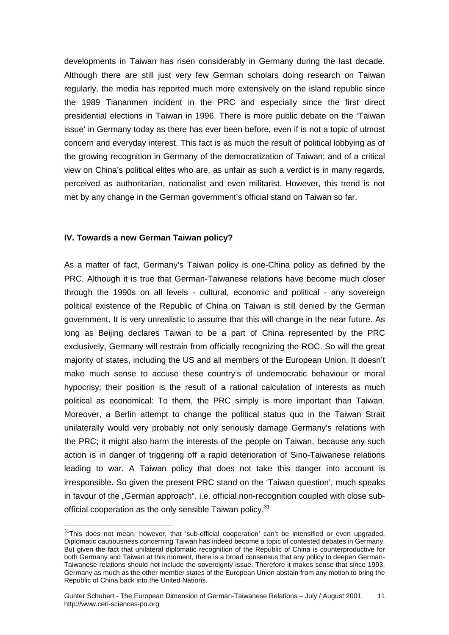developments in Taiwan has risen considerably in Germany during the last decade. Although there are still just very few German scholars doing research on Taiwan regularly, the media has reported much more extensively on the island republic since the 1989 Tiananmen incident in the PRC and especially since the first direct presidential elections in Taiwan in 1996. There is more public debate on the 'Taiwan issue' in Germany today as there has ever been before, even if is not a topic of utmost concern and everyday interest. This fact is as much the result of political lobbying as of the growing recognition in Germany of the democratization of Taiwan; and of a critical view on China's political elites who are, as unfair as such a verdict is in many regards, perceived as authoritarian, nationalist and even militarist. However, this trend is not met by any change in the German government's official stand on Taiwan so far.

#### **IV. Towards a new German Taiwan policy?**

 $\overline{a}$ 

As a matter of fact, Germany's Taiwan policy is one-China policy as defined by the PRC. Although it is true that German-Taiwanese relations have become much closer through the 1990s on all levels - cultural, economic and political - any sovereign political existence of the Republic of China on Taiwan is still denied by the German government. It is very unrealistic to assume that this will change in the near future. As long as Beijing declares Taiwan to be a part of China represented by the PRC exclusively, Germany will restrain from officially recognizing the ROC. So will the great majority of states, including the US and all members of the European Union. It doesn't make much sense to accuse these country's of undemocratic behaviour or moral hypocrisy; their position is the result of a rational calculation of interests as much political as economical: To them, the PRC simply is more important than Taiwan. Moreover, a Berlin attempt to change the political status quo in the Taiwan Strait unilaterally would very probably not only seriously damage Germany's relations with the PRC; it might also harm the interests of the people on Taiwan, because any such action is in danger of triggering off a rapid deterioration of Sino-Taiwanese relations leading to war. A Taiwan policy that does not take this danger into account is irresponsible. So given the present PRC stand on the 'Taiwan question', much speaks in favour of the "German approach", i.e. official non-recognition coupled with close subofficial cooperation as the only sensible Taiwan policy.<sup>31</sup>

<sup>&</sup>lt;sup>31</sup>This does not mean, however, that 'sub-official cooperation' can't be intensified or even upgraded. Diplomatic cautiousness concerning Taiwan has indeed become a topic of contested debates in Germany. But given the fact that unilateral diplomatic recognition of the Republic of China is counterproductive for both Germany and Taiwan at this moment, there is a broad consensus that any policy to deepen German-Taiwanese relations should not include the sovereignty issue. Therefore it makes sense that since 1993, Germany as much as the other member states of the European Union abstain from any motion to bring the Republic of China back into the United Nations.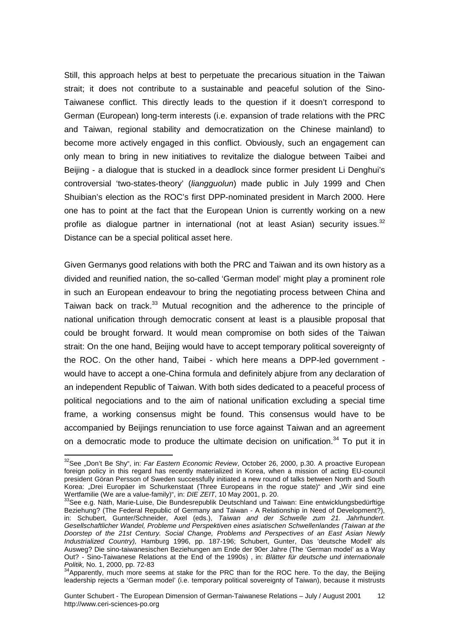Still, this approach helps at best to perpetuate the precarious situation in the Taiwan strait; it does not contribute to a sustainable and peaceful solution of the Sino-Taiwanese conflict. This directly leads to the question if it doesn't correspond to German (European) long-term interests (i.e. expansion of trade relations with the PRC and Taiwan, regional stability and democratization on the Chinese mainland) to become more actively engaged in this conflict. Obviously, such an engagement can only mean to bring in new initiatives to revitalize the dialogue between Taibei and Beijing - a dialogue that is stucked in a deadlock since former president Li Denghui's controversial 'two-states-theory' (*liangguolun*) made public in July 1999 and Chen Shuibian's election as the ROC's first DPP-nominated president in March 2000. Here one has to point at the fact that the European Union is currently working on a new profile as dialogue partner in international (not at least Asian) security issues. $32$ Distance can be a special political asset here.

Given Germanys good relations with both the PRC and Taiwan and its own history as a divided and reunified nation, the so-called 'German model' might play a prominent role in such an European endeavour to bring the negotiating process between China and Taiwan back on track.<sup>33</sup> Mutual recognition and the adherence to the principle of national unification through democratic consent at least is a plausible proposal that could be brought forward. It would mean compromise on both sides of the Taiwan strait: On the one hand, Beijing would have to accept temporary political sovereignty of the ROC. On the other hand, Taibei - which here means a DPP-led government would have to accept a one-China formula and definitely abjure from any declaration of an independent Republic of Taiwan. With both sides dedicated to a peaceful process of political negociations and to the aim of national unification excluding a special time frame, a working consensus might be found. This consensus would have to be accompanied by Beijings renunciation to use force against Taiwan and an agreement on a democratic mode to produce the ultimate decision on unification. $34$  To put it in

<sup>&</sup>lt;sup>32</sup>See "Don't Be Shy", in: *Far Eastern Economic Review*, October 26, 2000, p.30. A proactive European foreign policy in this regard has recently materialized in Korea, when a mission of acting EU-council president Göran Persson of Sweden successfully initiated a new round of talks between North and South Korea: "Drei Europäer im Schurkenstaat (Three Europeans in the rogue state)" and "Wir sind eine Wertfamilie (We are a value-family)", in: *DIE ZEIT*, 10 May 2001, p. 20.

Wertfamilie (We are a value-family), in: *DIE ZEIT*, 10 Deutschland und Taiwan: Eine entwicklungsbedürftige Beziehung? (The Federal Republic of Germany and Taiwan - A Relationship in Need of Development?), in: Schubert, Gunter/Schneider, Axel (eds.), *Taiwan and der Schwelle zum 21. Jahrhundert. Gesellschaftlicher Wandel, Probleme und Perspektiven eines asiatischen Schwellenlandes (Taiwan at the Doorstep of the 21st Century. Social Change, Problems and Perspectives of an East Asian Newly Industrialized Country),* Hamburg 1996, pp. 187-196; Schubert, Gunter, Das 'deutsche Modell' als Ausweg? Die sino-taiwanesischen Beziehungen am Ende der 90er Jahre (The 'German model' as a Way Out? - Sino-Taiwanese Relations at the End of the 1990s) , in: *Blätter für deutsche und internationale* 

<sup>&</sup>lt;sup>34</sup>Apparently, much more seems at stake for the PRC than for the ROC here. To the day, the Beijing leadership rejects a 'German model' (i.e. temporary political sovereignty of Taiwan), because it mistrusts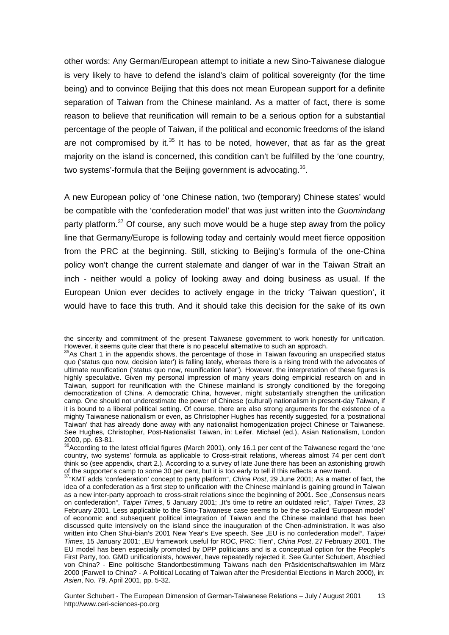other words: Any German/European attempt to initiate a new Sino-Taiwanese dialogue is very likely to have to defend the island's claim of political sovereignty (for the time being) and to convince Beijing that this does not mean European support for a definite separation of Taiwan from the Chinese mainland. As a matter of fact, there is some reason to believe that reunification will remain to be a serious option for a substantial percentage of the people of Taiwan, if the political and economic freedoms of the island are not compromised by it. $35$  It has to be noted, however, that as far as the great majority on the island is concerned, this condition can't be fulfilled by the 'one country, two systems'-formula that the Beijing government is advocating.<sup>36</sup>.

A new European policy of 'one Chinese nation, two (temporary) Chinese states' would be compatible with the 'confederation model' that was just written into the *Guomindang* party platform.<sup>37</sup> Of course, any such move would be a huge step away from the policy line that Germany/Europe is following today and certainly would meet fierce opposition from the PRC at the beginning. Still, sticking to Beijing's formula of the one-China policy won't change the current stalemate and danger of war in the Taiwan Strait an inch - neither would a policy of looking away and doing business as usual. If the European Union ever decides to actively engage in the tricky 'Taiwan question', it would have to face this truth. And it should take this decision for the sake of its own

1

the sincerity and commitment of the present Taiwanese government to work honestly for unification. However, it seems quite clear that there is no peaceful alternative to such an approach.

 $35$ As Chart 1 in the appendix shows, the percentage of those in Taiwan favouring an unspecified status quo ('status quo now, decision later') is falling lately, whereas there is a rising trend with the advocates of ultimate reunification ('status quo now, reunification later'). However, the interpretation of these figures is highly speculative. Given my personal impression of many years doing empiricial research on and in Taiwan, support for reunification with the Chinese mainland is strongly conditioned by the foregoing democratization of China. A democratic China, however, might substantially strengthen the unification camp. One should not underestimate the power of Chinese (cultural) nationalism in present-day Taiwan, if it is bound to a liberal political setting. Of course, there are also strong arguments for the existence of a mighty Taiwanese nationalism or even, as Christopher Hughes has recently suggested, for a 'postnational Taiwan' that has already done away with any nationalist homogenization project Chinese or Taiwanese. See Hughes, Christopher, Post-Nationalist Taiwan, in: Leifer, Michael (ed.), Asian Nationalism, London 2000, pp. 63-81.

<sup>&</sup>lt;sup>36</sup>According to the latest official figures (March 2001), only 16.1 per cent of the Taiwanese regard the 'one country, two systems' formula as applicable to Cross-strait relations, whereas almost 74 per cent don't think so (see appendix, chart 2.). According to a survey of late June there has been an astonishing growth of the supporter's camp to some 30 per cent, but it is too early to tell if this reflects a new trend.

<sup>37&</sup>quot;KMT adds 'confederation' concept to party platform", *China Post*, 29 June 2001; As a matter of fact, the idea of a confederation as a first step to unification with the Chinese mainland is gaining ground in Taiwan as a new inter-party approach to cross-strait relations since the beginning of 2001. See "Consensus nears on confederation", *Taipei Times*, 5 January 2001; "It's time to retire an outdated relic", *Taipei Times*, 23 February 2001. Less applicable to the Sino-Taiwanese case seems to be the so-called 'European model' of economic and subsequent political integration of Taiwan and the Chinese mainland that has been discussed quite intensively on the island since the inauguration of the Chen-administration. It was also written into Chen Shui-bian's 2001 New Year's Eve speech. See "EU is no confederation model", *Taipei Times*, 15 January 2001; "EU framework useful for ROC, PRC: Tien", *China Post*, 27 February 2001. The EU model has been especially promoted by DPP politicians and is a conceptual option for the People's First Party, too. GMD unificationists, however, have repeatedly rejected it. See Gunter Schubert, Abschied von China? - Eine politische Standortbestimmung Taiwans nach den Präsidentschaftswahlen im März 2000 (Farwell to China? - A Political Locating of Taiwan after the Presidential Elections in March 2000), in: *Asien*, No. 79, April 2001, pp. 5-32.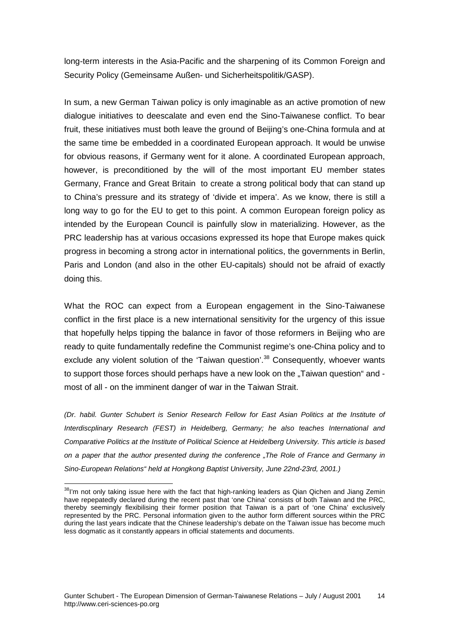long-term interests in the Asia-Pacific and the sharpening of its Common Foreign and Security Policy (Gemeinsame Außen- und Sicherheitspolitik/GASP).

In sum, a new German Taiwan policy is only imaginable as an active promotion of new dialogue initiatives to deescalate and even end the Sino-Taiwanese conflict. To bear fruit, these initiatives must both leave the ground of Beijing's one-China formula and at the same time be embedded in a coordinated European approach. It would be unwise for obvious reasons, if Germany went for it alone. A coordinated European approach, however, is preconditioned by the will of the most important EU member states Germany, France and Great Britain to create a strong political body that can stand up to China's pressure and its strategy of 'divide et impera'. As we know, there is still a long way to go for the EU to get to this point. A common European foreign policy as intended by the European Council is painfully slow in materializing. However, as the PRC leadership has at various occasions expressed its hope that Europe makes quick progress in becoming a strong actor in international politics, the governments in Berlin, Paris and London (and also in the other EU-capitals) should not be afraid of exactly doing this.

What the ROC can expect from a European engagement in the Sino-Taiwanese conflict in the first place is a new international sensitivity for the urgency of this issue that hopefully helps tipping the balance in favor of those reformers in Beijing who are ready to quite fundamentally redefine the Communist regime's one-China policy and to exclude any violent solution of the 'Taiwan question'.<sup>38</sup> Consequently, whoever wants to support those forces should perhaps have a new look on the "Taiwan question" and most of all - on the imminent danger of war in the Taiwan Strait.

*(Dr. habil. Gunter Schubert is Senior Research Fellow for East Asian Politics at the Institute of Interdiscplinary Research (FEST) in Heidelberg, Germany; he also teaches International and Comparative Politics at the Institute of Political Science at Heidelberg University. This article is based on a paper that the author presented during the conference "The Role of France and Germany in Sino-European Relations" held at Hongkong Baptist University, June 22nd-23rd, 2001.)*

 $\overline{a}$  $38$ I'm not only taking issue here with the fact that high-ranking leaders as Qian Qichen and Jiang Zemin have repepatedly declared during the recent past that 'one China' consists of both Taiwan and the PRC, thereby seemingly flexibilising their former position that Taiwan is a part of 'one China' exclusively represented by the PRC. Personal information given to the author form different sources within the PRC during the last years indicate that the Chinese leadership's debate on the Taiwan issue has become much less dogmatic as it constantly appears in official statements and documents.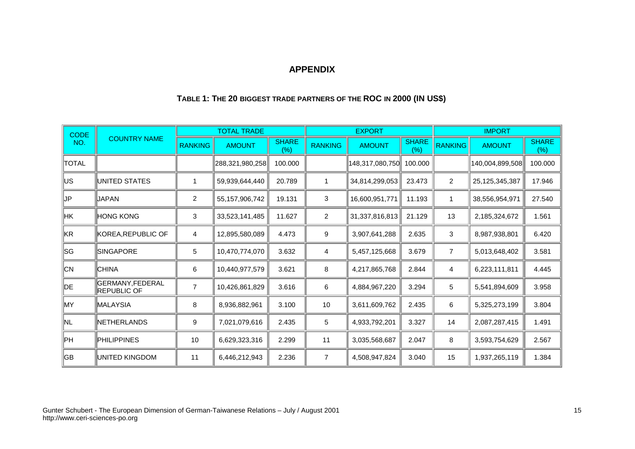### **APPENDIX**

| <b>CODE</b>  | <b>COUNTRY NAME</b>                    |                | <b>TOTAL TRADE</b> |                        |                  | <b>EXPORT</b>   |                      | <b>IMPORT</b>  |                 |                      |  |
|--------------|----------------------------------------|----------------|--------------------|------------------------|------------------|-----------------|----------------------|----------------|-----------------|----------------------|--|
| NO.          |                                        | <b>RANKING</b> | <b>AMOUNT</b>      | <b>SHARE</b><br>$(\%)$ | <b>RANKING</b>   | <b>AMOUNT</b>   | <b>SHARE</b><br>(% ) | <b>RANKING</b> | <b>AMOUNT</b>   | <b>SHARE</b><br>(% ) |  |
| <b>TOTAL</b> |                                        |                | 288,321,980,258    | 100.000                |                  | 148,317,080,750 | 100.000              |                | 140,004,899,508 | 100.000              |  |
| US           | <b>IUNITED STATES</b>                  | -1             | 59,939,644,440     | 20.789                 | 1                | 34,814,299,053  | 23.473               | $\overline{2}$ | 25,125,345,387  | 17.946               |  |
| IJР          | <b>JAPAN</b>                           | $\overline{2}$ | 55, 157, 906, 742  | 19.131                 | $\mathbf{3}$     | 16,600,951,771  | 11.193               | $\mathbf{1}$   | 38,556,954,971  | 27.540               |  |
| HK           | <b>HONG KONG</b>                       | $\mathbf{3}$   | 33,523,141,485     | 11.627                 | $\boldsymbol{2}$ | 31,337,816,813  | 21.129               | 13             | 2,185,324,672   | 1.561                |  |
| KR           | KOREA, REPUBLIC OF                     | 4              | 12,895,580,089     | 4.473                  | 9                | 3,907,641,288   | 2.635                | 3              | 8,987,938,801   | 6.420                |  |
| SG           | SINGAPORE                              | 5              | 10,470,774,070     | 3.632                  | 4                | 5,457,125,668   | 3.679                | $\overline{7}$ | 5,013,648,402   | 3.581                |  |
| CN           | <b>CHINA</b>                           | 6              | 10,440,977,579     | 3.621                  | $\bf 8$          | 4,217,865,768   | 2.844                | 4              | 6,223,111,811   | 4.445                |  |
| DE           | GERMANY, FEDERAL<br><b>REPUBLIC OF</b> | $\overline{7}$ | 10,426,861,829     | 3.616                  | 6                | 4,884,967,220   | 3.294                | 5              | 5,541,894,609   | 3.958                |  |
| MY.          | <b>IMALAYSIA</b>                       | 8              | 8,936,882,961      | 3.100                  | 10               | 3,611,609,762   | 2.435                | 6              | 5,325,273,199   | 3.804                |  |
| NL.          | <b>INETHERLANDS</b>                    | 9              | 7,021,079,616      | 2.435                  | $\sqrt{5}$       | 4,933,792,201   | 3.327                | 14             | 2,087,287,415   | 1.491                |  |
| PН           | PHILIPPINES                            | 10             | 6,629,323,316      | 2.299                  | 11               | 3,035,568,687   | 2.047                | 8              | 3,593,754,629   | 2.567                |  |
| GB           | <b>IUNITED KINGDOM</b>                 | 11             | 6,446,212,943      | 2.236                  | $\overline{7}$   | 4,508,947,824   | 3.040                | 15             | 1,937,265,119   | 1.384                |  |

## **TABLE 1: THE 20 BIGGEST TRADE PARTNERS OF THE ROC IN 2000 (IN US\$)**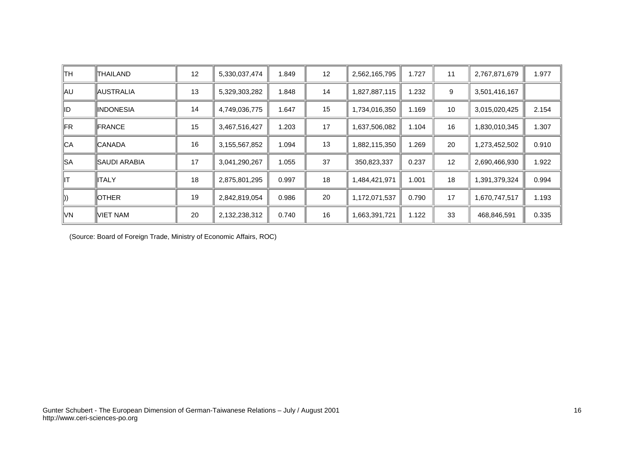| ∥TH            | THAILAND          | 12 | 5,330,037,474 | 1.849 | 12 | 2,562,165,795 | 1.727 | 11 | 2,767,871,679 | 1.977 |
|----------------|-------------------|----|---------------|-------|----|---------------|-------|----|---------------|-------|
| ∥AU            | <b>AUSTRALIA</b>  | 13 | 5,329,303,282 | 1.848 | 14 | 1,827,887,115 | 1.232 | 9  | 3,501,416,167 |       |
| ∥ID            | <b>IINDONESIA</b> | 14 | 4,749,036,775 | 1.647 | 15 | 1,734,016,350 | 1.169 | 10 | 3,015,020,425 | 2.154 |
| $\mathbb{F}R$  | <b>IFRANCE</b>    | 15 | 3,467,516,427 | 1.203 | 17 | 1,637,506,082 | 1.104 | 16 | ,830,010,345  | 1.307 |
| ∥CA            | <b>CANADA</b>     | 16 | 3,155,567,852 | 1.094 | 13 | 1,882,115,350 | 1.269 | 20 | 273,452,502,  | 0.910 |
| ∥SA            | ISAUDI ARABIA     | 17 | 3,041,290,267 | 1.055 | 37 | 350,823,337   | 0.237 | 12 | 2,690,466,930 | 1.922 |
| ⊪т             | ∥ITALY            | 18 | 2,875,801,295 | 0.997 | 18 | 1,484,421,971 | 1.001 | 18 | 1,391,379,324 | 0.994 |
| $\parallel$ )) | <b>IOTHER</b>     | 19 | 2,842,819,054 | 0.986 | 20 | 1,172,071,537 | 0.790 | 17 | 1,670,747,517 | 1.193 |
| ∥VN            | VIET NAM          | 20 | 2,132,238,312 | 0.740 | 16 | 1,663,391,721 | 1.122 | 33 | 468,846,591   | 0.335 |

(Source: Board of Foreign Trade, Ministry of Economic Affairs, ROC)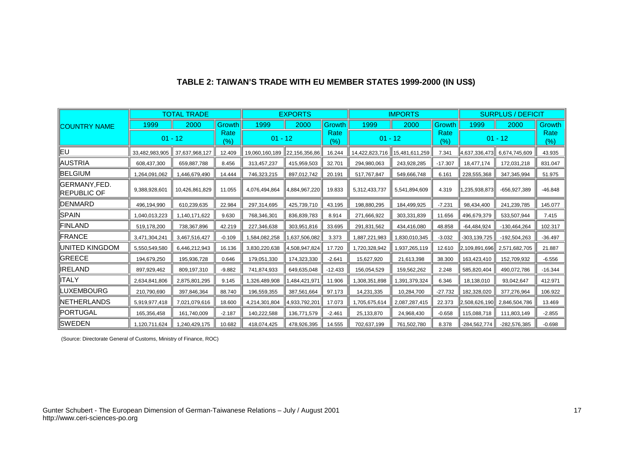|                                     |                | <b>TOTAL TRADE</b> | <b>EXPORTS</b> |                |               |                | <b>IMPORTS</b> |                | <b>SURPLUS / DEFICIT</b> |                  |                |             |
|-------------------------------------|----------------|--------------------|----------------|----------------|---------------|----------------|----------------|----------------|--------------------------|------------------|----------------|-------------|
| <b>ICOUNTRY NAME</b>                | 1999           | 2000               | <b>Growth</b>  | 1999           | 2000          | Growth         | 1999           | 2000           | <b>Growth</b>            | 1999             | 2000           | Growth      |
|                                     | $01 - 12$      |                    | Rate<br>(%)    | $01 - 12$      |               | Rate<br>$(\%)$ | $01 - 12$      |                | Rate<br>(% )             | $01 - 12$        |                | Rate<br>(%) |
| leu                                 | 33,482,983,905 | 37,637,968,127     | 12.409         | 19,060,160,189 | 22,156,356,86 | 16.244         | 14,422,823,716 | 15,481,611,259 | 7.341                    | 4,637,336,473    | 6,674,745,609  | 43.935      |
| ∥AUSTRIA                            | 608,437,300    | 659,887,788        | 8.456          | 313,457,237    | 415,959,503   | 32.701         | 294,980,063    | 243,928,285    | $-17.307$                | 18,477,174       | 172,031,218    | 831.047     |
| <b>BELGIUM</b>                      | 1.264.091.062  | 1.446.679.490      | 14.444         | 746.323.215    | 897.012.742   | 20.191         | 517.767.847    | 549.666.748    | 6.161                    | 228,555,368      | 347,345,994    | 51.975      |
| GERMANY,FED.<br><b>IREPUBLIC OF</b> | 9,388,928,601  | 10,426,861,829     | 11.055         | 4,076,494,864  | 4,884,967,220 | 19.833         | 5,312,433,737  | 5,541,894,609  | 4.319                    | 1,235,938,873    | -656,927,389   | $-46.848$   |
| <b>IDENMARD</b>                     | 496,194,990    | 610,239,635        | 22.984         | 297,314,695    | 425,739,710   | 43.195         | 198,880,295    | 184,499,925    | $-7.231$                 | 98,434,400       | 241,239,785    | 145.077     |
| <b>SPAIN</b>                        | 1.040.013.223  | 1.140.171.622      | 9.630          | 768.346.301    | 836.839.783   | 8.914          | 271.666.922    | 303.331.839    | 11.656                   | 496,679,379      | 533,507,944    | 7.415       |
| FINLAND                             | 519,178,200    | 738,367,896        | 42.219         | 227,346,638    | 303,951,816   | 33.695         | 291,831,562    | 434,416,080    | 48.858                   | $-64,484,924$    | -130,464,264   | 102.317     |
| FRANCE                              | 3,471,304,241  | 3,467,516,427      | $-0.109$       | 1,584,082,258  | 1,637,506,082 | 3.373          | 1,887,221,983  | 1,830,010,345  | $-3.032$                 | $-303, 139, 725$ | $-192,504,263$ | $-36.497$   |
| UNITED KINGDOM                      | 5,550,549,580  | 6,446,212,943      | 16.136         | 3,830,220,638  | 4,508,947,824 | 17.720         | 1,720,328,942  | 1,937,265,119  | 12.610                   | 12,109,891,696   | 2,571,682,705  | 21.887      |
| <b>GREECE</b>                       | 194,679,250    | 195,936,728        | 0.646          | 179,051,330    | 174,323,330   | $-2.641$       | 15,627,920     | 21,613,398     | 38.300                   | 163,423,410      | 152,709,932    | $-6.556$    |
| IRELAND                             | 897,929,462    | 809,197,310        | $-9.882$       | 741,874,933    | 649,635,048   | $-12.433$      | 156,054,529    | 159,562,262    | 2.248                    | 585,820,404      | 490,072,786    | $-16.344$   |
| ∥ITALY                              | 2,634,841,806  | 2,875,801,295      | 9.145          | 1,326,489,908  | 1,484,421,971 | 11.906         | 308,351,898    | 1,391,379,324  | 6.346                    | 18,138,010       | 93,042,647     | 412.971     |
| LUXEMBOURG                          | 210,790,690    | 397,846,364        | 88.740         | 196,559,355    | 387,561,664   | 97.173         | 14,231,335     | 10,284,700     | $-27.732$                | 182.328.020      | 377,276,964    | 106.922     |
| NETHERLANDS                         | 5,919,977,418  | 7,021,079,616      | 18.600         | 4,214,301,804  | 4,933,792,201 | 17.073         | 1,705,675,614  | 2,087,287,415  | 22.373                   | 2,508,626,190    | 2,846,504,786  | 13.469      |
| <b>PORTUGAL</b>                     | 165,356,458    | 161,740,009        | $-2.187$       | 140,222,588    | 136,771,579   | $-2.461$       | 25,133,870     | 24,968,430     | $-0.658$                 | 115,088,718      | 111,803,149    | $-2.855$    |
| <b>SWEDEN</b>                       | 1,120,711,624  | 1,240,429,175      | 10.682         | 418,074,425    | 478,926,395   | 14.555         | 702,637,199    | 761,502,780    | 8.378                    | -284,562,774     | $-282,576,385$ | $-0.698$    |

# **TABLE 2: TAIWAN'S TRADE WITH EU MEMBER STATES 1999-2000 (IN US\$)**

(Source: Directorate General of Customs, Ministry of Finance, ROC)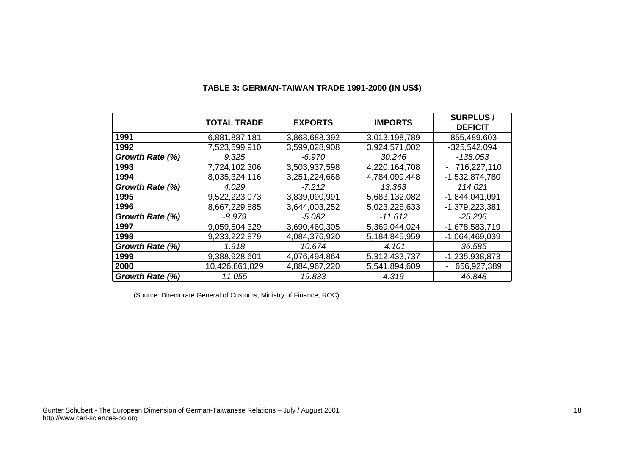|                 | <b>TOTAL TRADE</b> | <b>EXPORTS</b> | <b>IMPORTS</b> | <b>SURPLUS/</b><br><b>DEFICIT</b>           |
|-----------------|--------------------|----------------|----------------|---------------------------------------------|
| 1991            | 6,881,887,181      | 3,868,688,392  | 3,013,198,789  | 855,489,603                                 |
| 1992            | 7,523,599,910      | 3,599,028,908  | 3,924,571,002  | $-325,542,094$                              |
| Growth Rate (%) | 9.325              | -6.970         | 30.246         | $-138.053$                                  |
| 1993            | 7,724,102,306      | 3,503,937,598  | 4,220,164,708  | 716,227,110<br>$\qquad \qquad \blacksquare$ |
| 1994            | 8,035,324,116      | 3,251,224,668  | 4,784,099,448  | -1,532,874,780                              |
| Growth Rate (%) | 4.029              | $-7.212$       | 13.363         | 114.021                                     |
| 1995            | 9,522,223,073      | 3,839,090,991  | 5,683,132,082  | $-1,844,041,091$                            |
| 1996            | 8,667,229,885      | 3,644,003,252  | 5,023,226,633  | $-1,379,223,381$                            |
| Growth Rate (%) | -8.979             | $-5.082$       | $-11.612$      | $-25.206$                                   |
| 1997            | 9,059,504,329      | 3,690,460,305  | 5,369,044,024  | -1,678,583,719                              |
| 1998            | 9,233,222,879      | 4,084,376,920  | 5,184,845,959  | $-1,064,469,039$                            |
| Growth Rate (%) | 1.918              | 10.674         | $-4.101$       | -36.585                                     |
| 1999            | 9,388,928,601      | 4,076,494,864  | 5,312,433,737  | $-1,235,938,873$                            |
| 2000            | 10,426,861,829     | 4,884,967,220  | 5,541,894,609  | 656,927,389<br>Ē,                           |
| Growth Rate (%) | 11.055             | 19.833         | 4.319          | -46.848                                     |

### **TABLE 3: GERMAN-TAIWAN TRADE 1991-2000 (IN US\$)**

(Source: Directorate General of Customs, Ministry of Finance, ROC)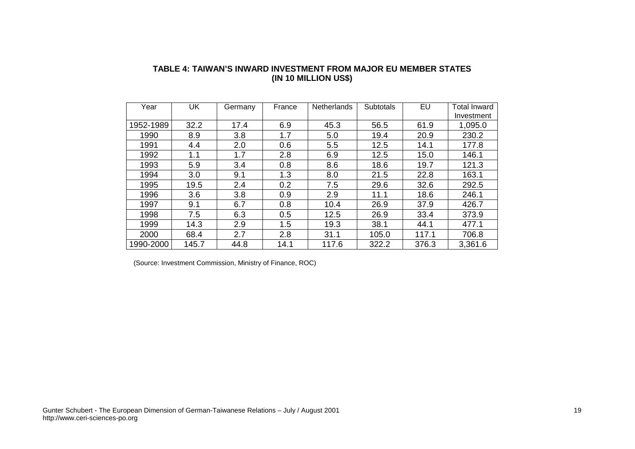| Year      | UK    | Germany | France | <b>Netherlands</b> | <b>Subtotals</b> | EU    | <b>Total Inward</b> |
|-----------|-------|---------|--------|--------------------|------------------|-------|---------------------|
|           |       |         |        |                    |                  |       | Investment          |
| 1952-1989 | 32.2  | 17.4    | 6.9    | 45.3               | 56.5             | 61.9  | 1,095.0             |
| 1990      | 8.9   | 3.8     | 1.7    | 5.0                | 19.4             | 20.9  | 230.2               |
| 1991      | 4.4   | 2.0     | 0.6    | 5.5                | 12.5             | 14.1  | 177.8               |
| 1992      | 1.1   | 1.7     | 2.8    | 6.9                | 12.5             | 15.0  | 146.1               |
| 1993      | 5.9   | 3.4     | 0.8    | 8.6                | 18.6             | 19.7  | 121.3               |
| 1994      | 3.0   | 9.1     | 1.3    | 8.0                | 21.5             | 22.8  | 163.1               |
| 1995      | 19.5  | 2.4     | 0.2    | 7.5                | 29.6             | 32.6  | 292.5               |
| 1996      | 3.6   | 3.8     | 0.9    | 2.9                | 11.1             | 18.6  | 246.1               |
| 1997      | 9.1   | 6.7     | 0.8    | 10.4               | 26.9             | 37.9  | 426.7               |
| 1998      | 7.5   | 6.3     | 0.5    | 12.5               | 26.9             | 33.4  | 373.9               |
| 1999      | 14.3  | 2.9     | 1.5    | 19.3               | 38.1             | 44.1  | 477.1               |
| 2000      | 68.4  | 2.7     | 2.8    | 31.1               | 105.0            | 117.1 | 706.8               |
| 1990-2000 | 145.7 | 44.8    | 14.1   | 117.6              | 322.2            | 376.3 | 3,361.6             |

#### **TABLE 4: TAIWAN'S INWARD INVESTMENT FROM MAJOR EU MEMBER STATES (IN 10 MILLION US\$)**

(Source: Investment Commission, Ministry of Finance, ROC)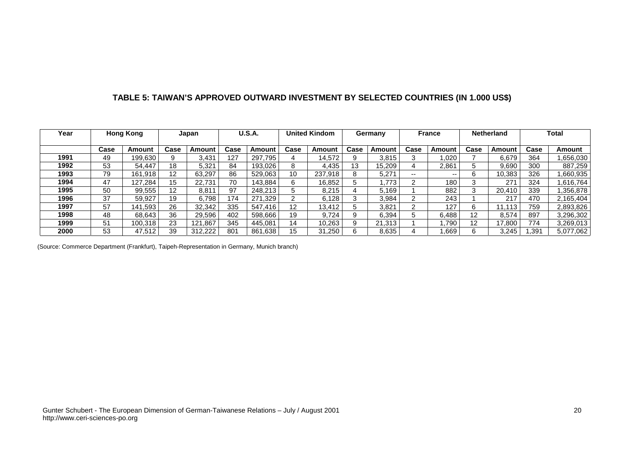## **TABLE 5: TAIWAN'S APPROVED OUTWARD INVESTMENT BY SELECTED COUNTRIES (IN 1.000 US\$)**

| Year |      | <b>Hong Kong</b> |                   | Japan   |      | <b>U.S.A.</b> |      | <b>United Kindom</b> |      | Germany |      | <b>France</b> |                   | <b>Netherland</b> |      | Total     |
|------|------|------------------|-------------------|---------|------|---------------|------|----------------------|------|---------|------|---------------|-------------------|-------------------|------|-----------|
|      | Case | Amount           | Case              | Amount  | Case | Amount        | Case | Amount               | Case | Amount  | Case | Amount        | Case              | Amount            | Case | Amount    |
| 1991 | 49   | 199.630          |                   | 3,431   | 127  | 297,795       | 4    | 14,572               |      | 3.815   |      | .020          |                   | 6.679             | 364  | ,656,030  |
| 1992 | 53   | 54.447           | 18                | 5,321   | 84   | 193.026       | 8    | 4.435                | 13   | 15.209  | 4    | 2,861         |                   | 9.690             | 300  | 887,259   |
| 1993 | 79   | 161.918          | $12 \overline{ }$ | 63.297  | 86   | 529,063       | 10   | 237.918              | 8    | 5.271   | --   | $- -$         | 6                 | 10.383            | 326  | .660,935  |
| 1994 | 47   | 127.284          | 15                | 22.731  | 70   | 143,884       | 6    | 16,852               |      | .773    | ົ    | 180           |                   | 271               | 324  | .616.764  |
| 1995 | 50   | 99,555           | $12 \overline{ }$ | 8,811   | 97   | 248,213       |      | 8.215                |      | 5.169   |      | 882           |                   | 20,410            | 339  | .356,878  |
| 1996 | 37   | 59.927           | 19                | 6,798   | 174  | 271,329       |      | 6.128                |      | 3,984   | ົ    | 243           |                   | 217               | 470  | 2,165,404 |
| 1997 | 57   | 141.593          | 26                | 32.342  | 335  | 547.416       | 12   | 13.412               |      | 3.821   | ົ    | 127           | 6                 | .113              | 759  | 2,893,826 |
| 1998 | 48   | 68.643           | 36                | 29.596  | 402  | 598,666       | 19   | 9.724                |      | 6.394   |      | 6.488         | $12 \overline{ }$ | 8.574             | 897  | 3,296,302 |
| 1999 | 51   | 100.318          | 23                | 121.867 | 345  | 445.081       | 14   | 10.263               | o    | 21.313  |      | .790          | 12                | 17.800            | 774  | 3,269,013 |
| 2000 | 53   | 47.512           | 39                | 312,222 | 801  | 861,638       | 15   | 31.250               |      | 8,635   |      | .669          | 6                 | 3,245             | .391 | 5,077,062 |

(Source: Commerce Department (Frankfurt), Taipeh-Representation in Germany, Munich branch)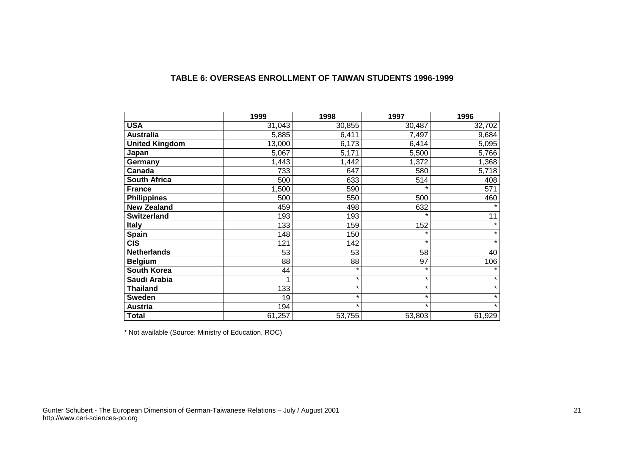|                       | 1999   | 1998    | 1997    | 1996    |
|-----------------------|--------|---------|---------|---------|
| <b>USA</b>            | 31,043 | 30,855  | 30,487  | 32,702  |
| <b>Australia</b>      | 5,885  | 6,411   | 7,497   | 9,684   |
| <b>United Kingdom</b> | 13,000 | 6,173   | 6,414   | 5,095   |
| Japan                 | 5,067  | 5,171   | 5,500   | 5,766   |
| Germany               | 1,443  | 1,442   | 1,372   | 1,368   |
| Canada                | 733    | 647     | 580     | 5,718   |
| <b>South Africa</b>   | 500    | 633     | 514     | 408     |
| <b>France</b>         | 1,500  | 590     | $\ast$  | 571     |
| <b>Philippines</b>    | 500    | 550     | 500     | 460     |
| <b>New Zealand</b>    | 459    | 498     | 632     |         |
| <b>Switzerland</b>    | 193    | 193     | $\star$ | 11      |
| <b>Italy</b>          | 133    | 159     | 152     | $\star$ |
| Spain                 | 148    | 150     | $\star$ | $\star$ |
| <b>CIS</b>            | 121    | 142     | $\star$ | $\star$ |
| <b>Netherlands</b>    | 53     | 53      | 58      | 40      |
| <b>Belgium</b>        | 88     | 88      | 97      | 106     |
| <b>South Korea</b>    | 44     | $\star$ | $\star$ | $\star$ |
| Saudi Arabia          | 1      | $\star$ | $\star$ | $\star$ |
| <b>Thailand</b>       | 133    | $\star$ | $\star$ | $\star$ |
| <b>Sweden</b>         | 19     | $\star$ | $\star$ | $\star$ |
| <b>Austria</b>        | 194    | $\star$ | $\star$ | $\star$ |
| <b>Total</b>          | 61,257 | 53,755  | 53,803  | 61,929  |

### **TABLE 6: OVERSEAS ENROLLMENT OF TAIWAN STUDENTS 1996-1999**

\* Not available (Source: Ministry of Education, ROC)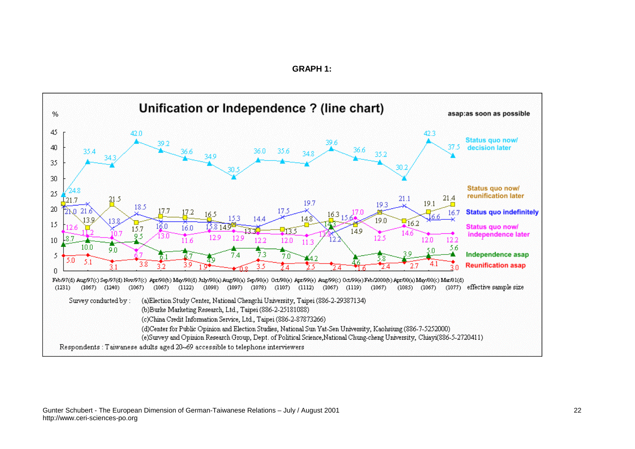### **GRAPH 1:**